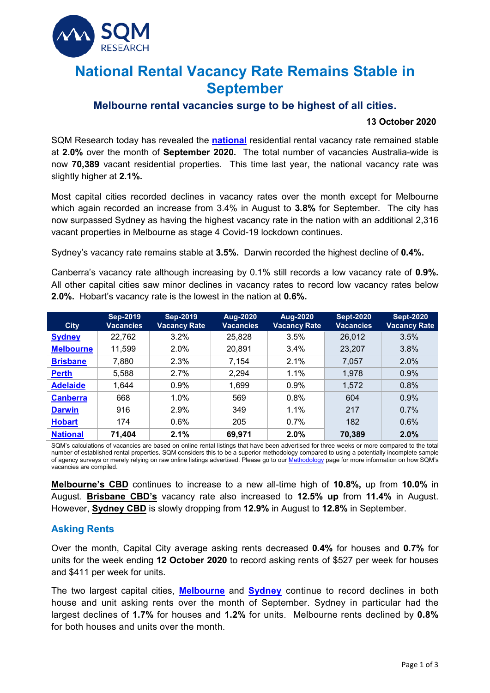

# **National Rental Vacancy Rate Remains Stable in September**

## **Melbourne rental vacancies surge to be highest of all cities.**

#### **13 October 2020**

SQM Research today has revealed the **[national](https://sqmresearch.com.au/graph_vacancy.php?national=1&t=1)** residential rental vacancy rate remained stable at **2.0%** over the month of **September 2020.** The total number of vacancies Australia-wide is now **70,389** vacant residential properties. This time last year, the national vacancy rate was slightly higher at **2.1%.**

Most capital cities recorded declines in vacancy rates over the month except for Melbourne which again recorded an increase from 3.4% in August to **3.8%** for September. The city has now surpassed Sydney as having the highest vacancy rate in the nation with an additional 2,316 vacant properties in Melbourne as stage 4 Covid-19 lockdown continues.

Sydney's vacancy rate remains stable at **3.5%.** Darwin recorded the highest decline of **0.4%.**

Canberra's vacancy rate although increasing by 0.1% still records a low vacancy rate of **0.9%.**  All other capital cities saw minor declines in vacancy rates to record low vacancy rates below **2.0%.** Hobart's vacancy rate is the lowest in the nation at **0.6%.**

| <b>City</b>      | <b>Sep-2019</b><br><b>Vacancies</b> | <b>Sep-2019</b><br><b>Vacancy Rate</b> | <b>Aug-2020</b><br><b>Vacancies</b> | <b>Aug-2020</b><br><b>Vacancy Rate</b> | <b>Sept-2020</b><br><b>Vacancies</b> | <b>Sept-2020</b><br><b>Vacancy Rate</b> |
|------------------|-------------------------------------|----------------------------------------|-------------------------------------|----------------------------------------|--------------------------------------|-----------------------------------------|
| <b>Sydney</b>    | 22,762                              | 3.2%                                   | 25,828                              | 3.5%                                   | 26,012                               | 3.5%                                    |
| <b>Melbourne</b> | 11,599                              | 2.0%                                   | 20,891                              | 3.4%                                   | 23,207                               | 3.8%                                    |
| <b>Brisbane</b>  | 7,880                               | 2.3%                                   | 7,154                               | 2.1%                                   | 7,057                                | 2.0%                                    |
| <b>Perth</b>     | 5,588                               | 2.7%                                   | 2,294                               | 1.1%                                   | 1,978                                | 0.9%                                    |
| <b>Adelaide</b>  | 1,644                               | 0.9%                                   | 1,699                               | 0.9%                                   | 1,572                                | 0.8%                                    |
| <b>Canberra</b>  | 668                                 | 1.0%                                   | 569                                 | 0.8%                                   | 604                                  | 0.9%                                    |
| <b>Darwin</b>    | 916                                 | 2.9%                                   | 349                                 | 1.1%                                   | 217                                  | 0.7%                                    |
| <b>Hobart</b>    | 174                                 | 0.6%                                   | 205                                 | 0.7%                                   | 182                                  | 0.6%                                    |
| <b>National</b>  | 71,404                              | 2.1%                                   | 69,971                              | 2.0%                                   | 70,389                               | 2.0%                                    |

SQM's calculations of vacancies are based on online rental listings that have been advertised for three weeks or more compared to the total number of established rental properties. SQM considers this to be a superior methodology compared to using a potentially incomplete sample of agency surveys or merely relying on raw online listings advertised. Please go to ou[r Methodology](https://sqmresearch.com.au/graph_vacancy.php?region=nsw::Sydney&type=c&t=1#terms) page for more information on how SQM's vacancies are compiled.

**[Melbourne's CBD](https://sqmresearch.com.au/graph_vacancy.php?postcode=3000&t=1)** continues to increase to a new all-time high of **10.8%,** up from **10.0%** in August. **[Brisbane CBD's](https://sqmresearch.com.au/graph_vacancy.php?postcode=4000&t=1)** vacancy rate also increased to **12.5% up** from **11.4%** in August. However, **[Sydney CBD](https://sqmresearch.com.au/graph_vacancy.php?postcode=2000&t=1)** is slowly dropping from **12.9%** in August to **12.8%** in September.

## **Asking Rents**

Over the month, Capital City average asking rents decreased **0.4%** for houses and **0.7%** for units for the week ending **12 October 2020** to record asking rents of \$527 per week for houses and \$411 per week for units.

The two largest capital cities, **[Melbourne](https://sqmresearch.com.au/weekly-rents.php?region=vic-Melbourne&type=c&t=1)** and **[Sydney](https://sqmresearch.com.au/weekly-rents.php?region=nsw%3A%3ASydney&type=c&t=1)** continue to record declines in both house and unit asking rents over the month of September. Sydney in particular had the largest declines of **1.7%** for houses and **1.2%** for units. Melbourne rents declined by **0.8%** for both houses and units over the month.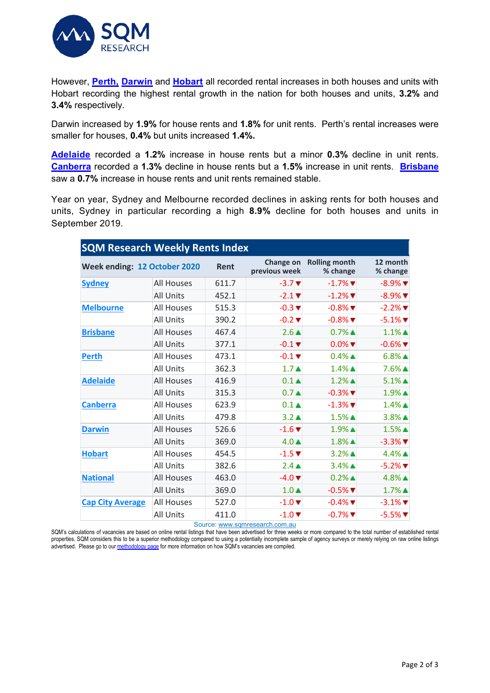

However, **[Perth,](https://sqmresearch.com.au/weekly-rents.php?region=wa%3A%3APerth&type=c&t=1) [Darwin](https://sqmresearch.com.au/weekly-rents.php?region=nt-Darwin&type=c&t=1)** and **[Hobart](https://sqmresearch.com.au/weekly-rents.php?region=tas-Hobart&type=c&t=1)** all recorded rental increases in both houses and units with Hobart recording the highest rental growth in the nation for both houses and units, **3.2%** and **3.4%** respectively.

Darwin increased by **1.9%** for house rents and **1.8%** for unit rents. Perth's rental increases were smaller for houses, **0.4%** but units increased **1.4%.**

**[Adelaide](https://sqmresearch.com.au/weekly-rents.php?region=sa-Adelaide&type=c&t=1)** recorded a **1.2%** increase in house rents but a minor **0.3%** decline in unit rents. **[Canberra](https://sqmresearch.com.au/weekly-rents.php?region=act-Canberra&type=c&t=1)** recorded a **1.3%** decline in house rents but a **1.5%** increase in unit rents. **[Brisbane](https://sqmresearch.com.au/weekly-rents.php?region=qld-Brisbane&type=c&t=1)** saw a **0.7%** increase in house rents and unit rents remained stable.

Year on year, Sydney and Melbourne recorded declines in asking rents for both houses and units, Sydney in particular recording a high **8.9%** decline for both houses and units in September 2019.

| <b>SQM Research Weekly Rents Index</b> |                   |       |                             |                                  |                               |  |  |  |  |
|----------------------------------------|-------------------|-------|-----------------------------|----------------------------------|-------------------------------|--|--|--|--|
| Week ending: 12 October 2020           |                   | Rent  | Change on<br>previous week  | <b>Rolling month</b><br>% change | 12 month<br>% change          |  |  |  |  |
| <b>Sydney</b>                          | <b>All Houses</b> | 611.7 | $-3.7$ $\blacktriangledown$ | $-1.7\%$ $\blacksquare$          | $-8.9\%$ $\blacksquare$       |  |  |  |  |
|                                        | <b>All Units</b>  | 452.1 | $-2.1$ $\blacktriangledown$ | $-1.2\%$ $\blacksquare$          | $-8.9\%$ $\blacksquare$       |  |  |  |  |
| <b>Melbourne</b>                       | All Houses        | 515.3 | $-0.3$ $\blacktriangledown$ | $-0.8\%$ $\blacksquare$          | $-2.2\%$ $\blacksquare$       |  |  |  |  |
|                                        | All Units         | 390.2 | $-0.2$ $\blacktriangledown$ | $-0.8\%$ $\blacksquare$          | $-5.1\%$ $\blacktriangledown$ |  |  |  |  |
| <b>Brisbane</b>                        | <b>All Houses</b> | 467.4 | $2.6 \triangle$             | $0.7\%$ $\blacktriangle$         | $1.1\%$ $\blacktriangle$      |  |  |  |  |
|                                        | All Units         | 377.1 | $-0.1$ $\blacktriangledown$ | $0.0\%$ $\blacktriangledown$     | $-0.6\%$ $\blacksquare$       |  |  |  |  |
| <b>Perth</b>                           | <b>All Houses</b> | 473.1 | $-0.1$ $\blacktriangledown$ | $0.4\%$ $\triangle$              | $6.8\%$ $\triangle$           |  |  |  |  |
|                                        | <b>All Units</b>  | 362.3 | 1.7 <sub>A</sub>            | $1.4\%$ $\triangle$              | $7.6\%$ $\triangle$           |  |  |  |  |
| <b>Adelaide</b>                        | <b>All Houses</b> | 416.9 | $0.1 \triangle$             | $1.2\%$ $\triangle$              | $5.1\%$ $\triangle$           |  |  |  |  |
|                                        | <b>All Units</b>  | 315.3 | 0.7 <sub>A</sub>            | $-0.3\%$ $\blacksquare$          | $1.9\%$ $\blacktriangle$      |  |  |  |  |
| <b>Canberra</b>                        | <b>All Houses</b> | 623.9 | $0.1 \triangle$             | $-1.3\%$ $\blacksquare$          | $1.4\%$ $\triangle$           |  |  |  |  |
|                                        | <b>All Units</b>  | 479.8 | $3.2 \triangle$             | $1.5\%$ $\blacktriangle$         | $3.8\%$ $\triangle$           |  |  |  |  |
| <b>Darwin</b>                          | <b>All Houses</b> | 526.6 | $-1.6$ $\blacktriangledown$ | $1.9\%$ $\blacktriangle$         | $1.5\%$ $\triangle$           |  |  |  |  |
|                                        | <b>All Units</b>  | 369.0 | $4.0 \triangle$             | $1.8\%$ $\triangle$              | $-3.3\%$ $\blacksquare$       |  |  |  |  |
| <b>Hobart</b>                          | <b>All Houses</b> | 454.5 | $-1.5$ $\blacktriangledown$ | $3.2\%$ $\triangle$              | $4.4\%$ $\triangle$           |  |  |  |  |
|                                        | <b>All Units</b>  | 382.6 | $2.4 \triangle$             | $3.4\%$ $\triangle$              | $-5.2%$ $\blacksquare$        |  |  |  |  |
| <b>National</b>                        | <b>All Houses</b> | 463.0 | $-4.0$ $\blacktriangledown$ | $0.2\%$ $\blacktriangle$         | $4.8\%$ $\triangle$           |  |  |  |  |
|                                        | All Units         | 369.0 | $1.0 \triangle$             | $-0.5%$ $\blacktriangledown$     | $1.7\%$ $\triangle$           |  |  |  |  |
| <b>Cap City Average</b>                | <b>All Houses</b> | 527.0 | $-1.0$ $\blacktriangledown$ | $-0.4\%$ $\blacksquare$          | $-3.1\%$ $\blacksquare$       |  |  |  |  |
|                                        | <b>All Units</b>  | 411.0 | $-1.0$ $\blacktriangledown$ | $-0.7\%$ $\blacksquare$          | $-5.5\%$                      |  |  |  |  |

Source[: www.sqmresearch.com.au](http://www.sqmresearch.com.au/)

SQM's calculations of vacancies are based on online rental listings that have been advertised for three weeks or more compared to the total number of established rental properties. SQM considers this to be a superior methodology compared to using a potentially incomplete sample of agency surveys or merely relying on raw online listings advertised. Please go to ou[r methodology page](https://sqmresearch.com.au/pdfs/methodologydocumentrentsindex.pdf) for more information on how SQM's vacancies are compiled.